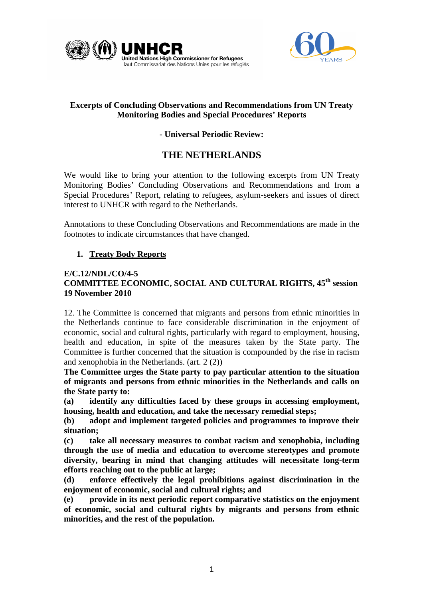



# **Excerpts of Concluding Observations and Recommendations from UN Treaty Monitoring Bodies and Special Procedures' Reports**

# **- Universal Periodic Review:**

# **THE NETHERLANDS**

We would like to bring your attention to the following excerpts from UN Treaty Monitoring Bodies' Concluding Observations and Recommendations and from a Special Procedures' Report, relating to refugees, asylum-seekers and issues of direct interest to UNHCR with regard to the Netherlands.

Annotations to these Concluding Observations and Recommendations are made in the footnotes to indicate circumstances that have changed.

## **1. Treaty Body Reports**

## **E/C.12/NDL/CO/4-5 COMMITTEE ECONOMIC, SOCIAL AND CULTURAL RIGHTS, 45th session 19 November 2010**

12. The Committee is concerned that migrants and persons from ethnic minorities in the Netherlands continue to face considerable discrimination in the enjoyment of economic, social and cultural rights, particularly with regard to employment, housing, health and education, in spite of the measures taken by the State party. The Committee is further concerned that the situation is compounded by the rise in racism and xenophobia in the Netherlands. (art. 2 (2))

**The Committee urges the State party to pay particular attention to the situation of migrants and persons from ethnic minorities in the Netherlands and calls on the State party to:** 

**(a) identify any difficulties faced by these groups in accessing employment, housing, health and education, and take the necessary remedial steps;** 

**(b) adopt and implement targeted policies and programmes to improve their situation;** 

**(c) take all necessary measures to combat racism and xenophobia, including through the use of media and education to overcome stereotypes and promote diversity, bearing in mind that changing attitudes will necessitate long-term efforts reaching out to the public at large;** 

**(d) enforce effectively the legal prohibitions against discrimination in the enjoyment of economic, social and cultural rights; and** 

**(e) provide in its next periodic report comparative statistics on the enjoyment of economic, social and cultural rights by migrants and persons from ethnic minorities, and the rest of the population.**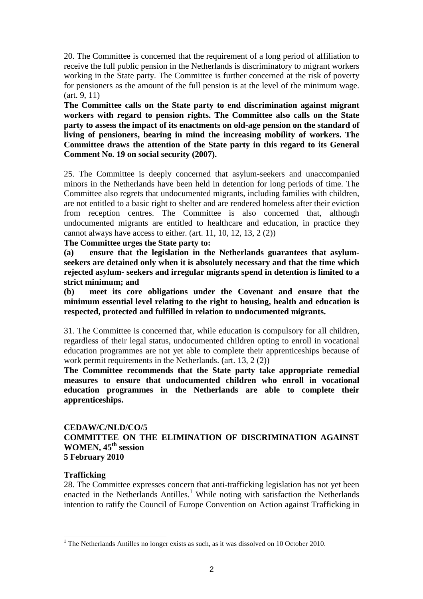20. The Committee is concerned that the requirement of a long period of affiliation to receive the full public pension in the Netherlands is discriminatory to migrant workers working in the State party. The Committee is further concerned at the risk of poverty for pensioners as the amount of the full pension is at the level of the minimum wage. (art. 9, 11)

**The Committee calls on the State party to end discrimination against migrant workers with regard to pension rights. The Committee also calls on the State party to assess the impact of its enactments on old-age pension on the standard of living of pensioners, bearing in mind the increasing mobility of workers. The Committee draws the attention of the State party in this regard to its General Comment No. 19 on social security (2007).** 

25. The Committee is deeply concerned that asylum-seekers and unaccompanied minors in the Netherlands have been held in detention for long periods of time. The Committee also regrets that undocumented migrants, including families with children, are not entitled to a basic right to shelter and are rendered homeless after their eviction from reception centres. The Committee is also concerned that, although undocumented migrants are entitled to healthcare and education, in practice they cannot always have access to either. (art. 11, 10, 12, 13, 2 (2))

## **The Committee urges the State party to:**

**(a) ensure that the legislation in the Netherlands guarantees that asylumseekers are detained only when it is absolutely necessary and that the time which rejected asylum- seekers and irregular migrants spend in detention is limited to a strict minimum; and** 

**(b) meet its core obligations under the Covenant and ensure that the minimum essential level relating to the right to housing, health and education is respected, protected and fulfilled in relation to undocumented migrants.** 

31. The Committee is concerned that, while education is compulsory for all children, regardless of their legal status, undocumented children opting to enroll in vocational education programmes are not yet able to complete their apprenticeships because of work permit requirements in the Netherlands. (art. 13, 2 (2))

**The Committee recommends that the State party take appropriate remedial measures to ensure that undocumented children who enroll in vocational education programmes in the Netherlands are able to complete their apprenticeships.** 

## **CEDAW/C/NLD/CO/5 COMMITTEE ON THE ELIMINATION OF DISCRIMINATION AGAINST**  WOMEN,  $45^{\text{th}}$  session **5 February 2010**

## **Trafficking**

 $\overline{a}$ 

28. The Committee expresses concern that anti-trafficking legislation has not yet been enacted in the Netherlands Antilles.<sup>1</sup> While noting with satisfaction the Netherlands intention to ratify the Council of Europe Convention on Action against Trafficking in

 $1$ <sup>1</sup> The Netherlands Antilles no longer exists as such, as it was dissolved on 10 October 2010.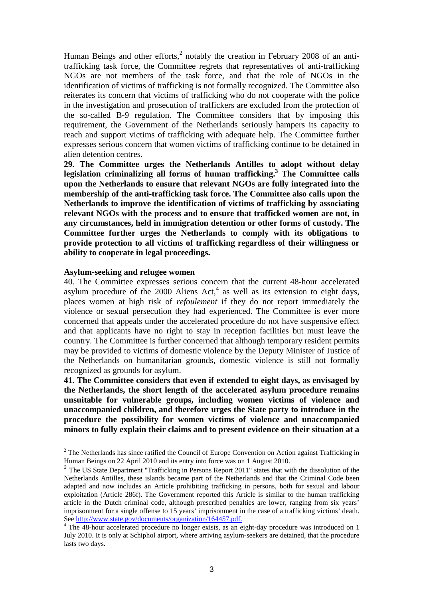Human Beings and other efforts, $^2$  notably the creation in February 2008 of an antitrafficking task force, the Committee regrets that representatives of anti-trafficking NGOs are not members of the task force, and that the role of NGOs in the identification of victims of trafficking is not formally recognized. The Committee also reiterates its concern that victims of trafficking who do not cooperate with the police in the investigation and prosecution of traffickers are excluded from the protection of the so-called B-9 regulation. The Committee considers that by imposing this requirement, the Government of the Netherlands seriously hampers its capacity to reach and support victims of trafficking with adequate help. The Committee further expresses serious concern that women victims of trafficking continue to be detained in alien detention centres.

**29. The Committee urges the Netherlands Antilles to adopt without delay legislation criminalizing all forms of human trafficking.<sup>3</sup> The Committee calls upon the Netherlands to ensure that relevant NGOs are fully integrated into the membership of the anti-trafficking task force. The Committee also calls upon the Netherlands to improve the identification of victims of trafficking by associating relevant NGOs with the process and to ensure that trafficked women are not, in any circumstances, held in immigration detention or other forms of custody. The Committee further urges the Netherlands to comply with its obligations to provide protection to all victims of trafficking regardless of their willingness or ability to cooperate in legal proceedings.** 

#### **Asylum-seeking and refugee women**

40. The Committee expresses serious concern that the current 48-hour accelerated asylum procedure of the 2000 Aliens  $Act<sub>1</sub><sup>4</sup>$  as well as its extension to eight days, places women at high risk of *refoulement* if they do not report immediately the violence or sexual persecution they had experienced. The Committee is ever more concerned that appeals under the accelerated procedure do not have suspensive effect and that applicants have no right to stay in reception facilities but must leave the country. The Committee is further concerned that although temporary resident permits may be provided to victims of domestic violence by the Deputy Minister of Justice of the Netherlands on humanitarian grounds, domestic violence is still not formally recognized as grounds for asylum.

**41. The Committee considers that even if extended to eight days, as envisaged by the Netherlands, the short length of the accelerated asylum procedure remains unsuitable for vulnerable groups, including women victims of violence and unaccompanied children, and therefore urges the State party to introduce in the procedure the possibility for women victims of violence and unaccompanied minors to fully explain their claims and to present evidence on their situation at a** 

<sup>&</sup>lt;sup>2</sup> The Netherlands has since ratified the Council of Europe Convention on Action against Trafficking in Human Beings on 22 April 2010 and its entry into force was on 1 August 2010.

<sup>&</sup>lt;sup>3</sup> The US State Department "Trafficking in Persons Report 2011" states that with the dissolution of the Netherlands Antilles, these islands became part of the Netherlands and that the Criminal Code been adapted and now includes an Article prohibiting trafficking in persons, both for sexual and labour exploitation (Article 286f). The Government reported this Article is similar to the human trafficking article in the Dutch criminal code, although prescribed penalties are lower, ranging from six years' imprisonment for a single offense to 15 years' imprisonment in the case of a trafficking victims' death. See http://www.state.gov/documents/organization/164457.pdf.

<sup>&</sup>lt;sup>4</sup> The 48-hour accelerated procedure no longer exists, as an eight-day procedure was introduced on 1 July 2010. It is only at Schiphol airport, where arriving asylum-seekers are detained, that the procedure lasts two days.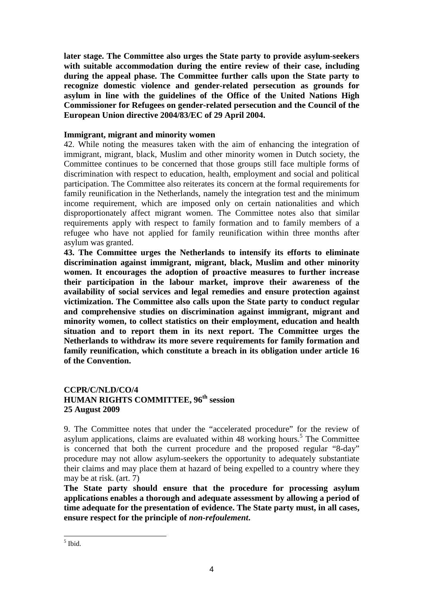**later stage. The Committee also urges the State party to provide asylum-seekers with suitable accommodation during the entire review of their case, including during the appeal phase. The Committee further calls upon the State party to recognize domestic violence and gender-related persecution as grounds for asylum in line with the guidelines of the Office of the United Nations High Commissioner for Refugees on gender-related persecution and the Council of the European Union directive 2004/83/EC of 29 April 2004.** 

## **Immigrant, migrant and minority women**

42. While noting the measures taken with the aim of enhancing the integration of immigrant, migrant, black, Muslim and other minority women in Dutch society, the Committee continues to be concerned that those groups still face multiple forms of discrimination with respect to education, health, employment and social and political participation. The Committee also reiterates its concern at the formal requirements for family reunification in the Netherlands, namely the integration test and the minimum income requirement, which are imposed only on certain nationalities and which disproportionately affect migrant women. The Committee notes also that similar requirements apply with respect to family formation and to family members of a refugee who have not applied for family reunification within three months after asylum was granted.

**43. The Committee urges the Netherlands to intensify its efforts to eliminate discrimination against immigrant, migrant, black, Muslim and other minority women. It encourages the adoption of proactive measures to further increase their participation in the labour market, improve their awareness of the availability of social services and legal remedies and ensure protection against victimization. The Committee also calls upon the State party to conduct regular and comprehensive studies on discrimination against immigrant, migrant and minority women, to collect statistics on their employment, education and health situation and to report them in its next report. The Committee urges the Netherlands to withdraw its more severe requirements for family formation and family reunification, which constitute a breach in its obligation under article 16 of the Convention.** 

## **CCPR/C/NLD/CO/4 HUMAN RIGHTS COMMITTEE, 96th session 25 August 2009**

9. The Committee notes that under the "accelerated procedure" for the review of asylum applications, claims are evaluated within 48 working hours.<sup>5</sup> The Committee is concerned that both the current procedure and the proposed regular "8-day" procedure may not allow asylum-seekers the opportunity to adequately substantiate their claims and may place them at hazard of being expelled to a country where they may be at risk. (art. 7)

**The State party should ensure that the procedure for processing asylum applications enables a thorough and adequate assessment by allowing a period of time adequate for the presentation of evidence. The State party must, in all cases, ensure respect for the principle of** *non-refoulement***.** 

 $<sup>5</sup>$  Ibid.</sup>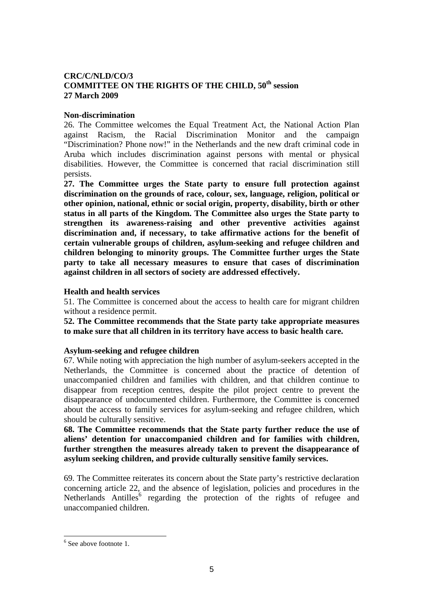## **CRC/C/NLD/CO/3 COMMITTEE ON THE RIGHTS OF THE CHILD, 50th session 27 March 2009**

## **Non-discrimination**

26. The Committee welcomes the Equal Treatment Act, the National Action Plan against Racism, the Racial Discrimination Monitor and the campaign "Discrimination? Phone now!" in the Netherlands and the new draft criminal code in Aruba which includes discrimination against persons with mental or physical disabilities. However, the Committee is concerned that racial discrimination still persists.

**27. The Committee urges the State party to ensure full protection against discrimination on the grounds of race, colour, sex, language, religion, political or other opinion, national, ethnic or social origin, property, disability, birth or other status in all parts of the Kingdom. The Committee also urges the State party to strengthen its awareness-raising and other preventive activities against discrimination and, if necessary, to take affirmative actions for the benefit of certain vulnerable groups of children, asylum-seeking and refugee children and children belonging to minority groups. The Committee further urges the State party to take all necessary measures to ensure that cases of discrimination against children in all sectors of society are addressed effectively.** 

#### **Health and health services**

51. The Committee is concerned about the access to health care for migrant children without a residence permit.

**52. The Committee recommends that the State party take appropriate measures to make sure that all children in its territory have access to basic health care.** 

## **Asylum-seeking and refugee children**

67. While noting with appreciation the high number of asylum-seekers accepted in the Netherlands, the Committee is concerned about the practice of detention of unaccompanied children and families with children, and that children continue to disappear from reception centres, despite the pilot project centre to prevent the disappearance of undocumented children. Furthermore, the Committee is concerned about the access to family services for asylum-seeking and refugee children, which should be culturally sensitive.

**68. The Committee recommends that the State party further reduce the use of aliens' detention for unaccompanied children and for families with children, further strengthen the measures already taken to prevent the disappearance of asylum seeking children, and provide culturally sensitive family services.** 

69. The Committee reiterates its concern about the State party's restrictive declaration concerning article 22, and the absence of legislation, policies and procedures in the Netherlands Antilles<sup>6</sup> regarding the protection of the rights of refugee and unaccompanied children.

 $\overline{a}$ 

<sup>&</sup>lt;sup>6</sup> See above footnote 1.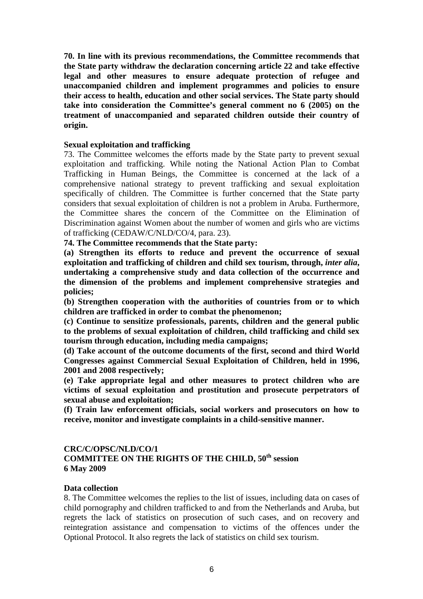**70. In line with its previous recommendations, the Committee recommends that the State party withdraw the declaration concerning article 22 and take effective legal and other measures to ensure adequate protection of refugee and unaccompanied children and implement programmes and policies to ensure their access to health, education and other social services. The State party should take into consideration the Committee's general comment no 6 (2005) on the treatment of unaccompanied and separated children outside their country of origin.** 

## **Sexual exploitation and trafficking**

73. The Committee welcomes the efforts made by the State party to prevent sexual exploitation and trafficking. While noting the National Action Plan to Combat Trafficking in Human Beings, the Committee is concerned at the lack of a comprehensive national strategy to prevent trafficking and sexual exploitation specifically of children. The Committee is further concerned that the State party considers that sexual exploitation of children is not a problem in Aruba. Furthermore, the Committee shares the concern of the Committee on the Elimination of Discrimination against Women about the number of women and girls who are victims of trafficking (CEDAW/C/NLD/CO/4, para. 23).

**74. The Committee recommends that the State party:** 

**(a) Strengthen its efforts to reduce and prevent the occurrence of sexual exploitation and trafficking of children and child sex tourism, through,** *inter alia***, undertaking a comprehensive study and data collection of the occurrence and the dimension of the problems and implement comprehensive strategies and policies;** 

**(b) Strengthen cooperation with the authorities of countries from or to which children are trafficked in order to combat the phenomenon;** 

**(c) Continue to sensitize professionals, parents, children and the general public to the problems of sexual exploitation of children, child trafficking and child sex tourism through education, including media campaigns;** 

**(d) Take account of the outcome documents of the first, second and third World Congresses against Commercial Sexual Exploitation of Children, held in 1996, 2001 and 2008 respectively;** 

**(e) Take appropriate legal and other measures to protect children who are victims of sexual exploitation and prostitution and prosecute perpetrators of sexual abuse and exploitation;** 

**(f) Train law enforcement officials, social workers and prosecutors on how to receive, monitor and investigate complaints in a child-sensitive manner.** 

#### **CRC/C/OPSC/NLD/CO/1**

## **COMMITTEE ON THE RIGHTS OF THE CHILD, 50th session 6 May 2009**

#### **Data collection**

8. The Committee welcomes the replies to the list of issues, including data on cases of child pornography and children trafficked to and from the Netherlands and Aruba, but regrets the lack of statistics on prosecution of such cases, and on recovery and reintegration assistance and compensation to victims of the offences under the Optional Protocol. It also regrets the lack of statistics on child sex tourism.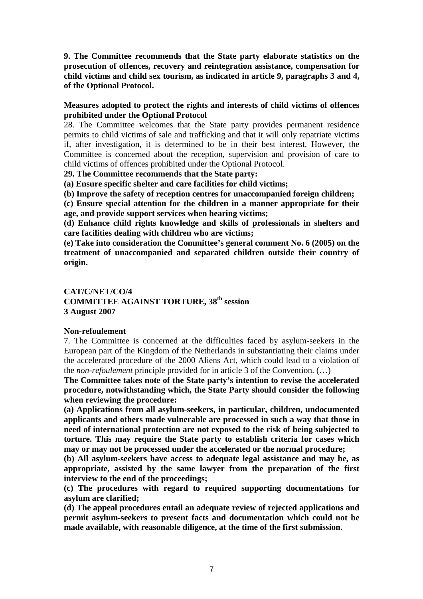**9. The Committee recommends that the State party elaborate statistics on the prosecution of offences, recovery and reintegration assistance, compensation for child victims and child sex tourism, as indicated in article 9, paragraphs 3 and 4, of the Optional Protocol.** 

## **Measures adopted to protect the rights and interests of child victims of offences prohibited under the Optional Protocol**

28. The Committee welcomes that the State party provides permanent residence permits to child victims of sale and trafficking and that it will only repatriate victims if, after investigation, it is determined to be in their best interest. However, the Committee is concerned about the reception, supervision and provision of care to child victims of offences prohibited under the Optional Protocol.

**29. The Committee recommends that the State party:** 

**(a) Ensure specific shelter and care facilities for child victims;** 

**(b) Improve the safety of reception centres for unaccompanied foreign children;** 

**(c) Ensure special attention for the children in a manner appropriate for their age, and provide support services when hearing victims;** 

**(d) Enhance child rights knowledge and skills of professionals in shelters and care facilities dealing with children who are victims;** 

**(e) Take into consideration the Committee's general comment No. 6 (2005) on the treatment of unaccompanied and separated children outside their country of origin.** 

## **CAT/C/NET/CO/4 COMMITTEE AGAINST TORTURE, 38th session 3 August 2007**

## **Non-refoulement**

7. The Committee is concerned at the difficulties faced by asylum-seekers in the European part of the Kingdom of the Netherlands in substantiating their claims under the accelerated procedure of the 2000 Aliens Act, which could lead to a violation of the *non-refoulement* principle provided for in article 3 of the Convention. (…)

**The Committee takes note of the State party's intention to revise the accelerated procedure, notwithstanding which, the State Party should consider the following when reviewing the procedure:** 

**(a) Applications from all asylum-seekers, in particular, children, undocumented applicants and others made vulnerable are processed in such a way that those in need of international protection are not exposed to the risk of being subjected to torture. This may require the State party to establish criteria for cases which may or may not be processed under the accelerated or the normal procedure;** 

**(b) All asylum-seekers have access to adequate legal assistance and may be, as appropriate, assisted by the same lawyer from the preparation of the first interview to the end of the proceedings;** 

**(c) The procedures with regard to required supporting documentations for asylum are clarified;** 

**(d) The appeal procedures entail an adequate review of rejected applications and permit asylum-seekers to present facts and documentation which could not be made available, with reasonable diligence, at the time of the first submission.**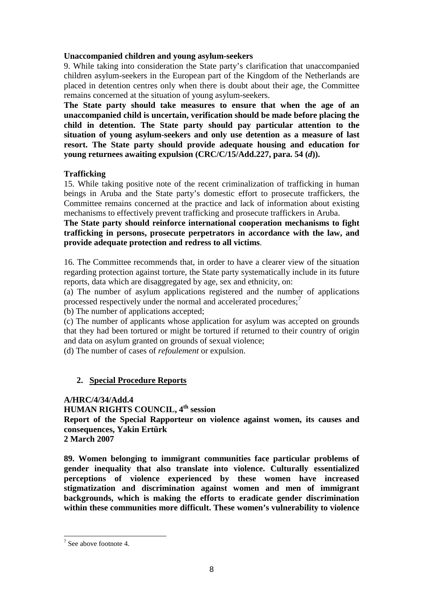## **Unaccompanied children and young asylum-seekers**

9. While taking into consideration the State party's clarification that unaccompanied children asylum-seekers in the European part of the Kingdom of the Netherlands are placed in detention centres only when there is doubt about their age, the Committee remains concerned at the situation of young asylum-seekers.

**The State party should take measures to ensure that when the age of an unaccompanied child is uncertain, verification should be made before placing the child in detention. The State party should pay particular attention to the situation of young asylum-seekers and only use detention as a measure of last resort. The State party should provide adequate housing and education for young returnees awaiting expulsion (CRC/C/15/Add.227, para. 54 (***d***)).** 

## **Trafficking**

15. While taking positive note of the recent criminalization of trafficking in human beings in Aruba and the State party's domestic effort to prosecute traffickers, the Committee remains concerned at the practice and lack of information about existing mechanisms to effectively prevent trafficking and prosecute traffickers in Aruba.

**The State party should reinforce international cooperation mechanisms to fight trafficking in persons, prosecute perpetrators in accordance with the law, and provide adequate protection and redress to all victims**.

16. The Committee recommends that, in order to have a clearer view of the situation regarding protection against torture, the State party systematically include in its future reports, data which are disaggregated by age, sex and ethnicity, on:

(a) The number of asylum applications registered and the number of applications processed respectively under the normal and accelerated procedures; $\frac{7}{1}$ 

(b) The number of applications accepted;

(c) The number of applicants whose application for asylum was accepted on grounds that they had been tortured or might be tortured if returned to their country of origin and data on asylum granted on grounds of sexual violence;

(d) The number of cases of *refoulement* or expulsion.

# **2. Special Procedure Reports**

**A/HRC/4/34/Add.4 HUMAN RIGHTS COUNCIL, 4th session Report of the Special Rapporteur on violence against women, its causes and consequences, Yakin Ertürk 2 March 2007** 

**89. Women belonging to immigrant communities face particular problems of gender inequality that also translate into violence. Culturally essentialized perceptions of violence experienced by these women have increased stigmatization and discrimination against women and men of immigrant backgrounds, which is making the efforts to eradicate gender discrimination within these communities more difficult. These women's vulnerability to violence** 

 $\overline{a}$ 

 $7$  See above footnote 4.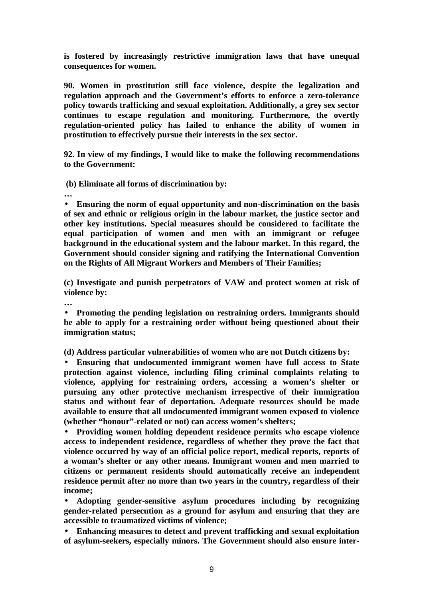**is fostered by increasingly restrictive immigration laws that have unequal consequences for women.** 

**90. Women in prostitution still face violence, despite the legalization and regulation approach and the Government's efforts to enforce a zero-tolerance policy towards trafficking and sexual exploitation. Additionally, a grey sex sector continues to escape regulation and monitoring. Furthermore, the overtly regulation-oriented policy has failed to enhance the ability of women in prostitution to effectively pursue their interests in the sex sector.** 

**92. In view of my findings, I would like to make the following recommendations to the Government:** 

 **(b) Eliminate all forms of discrimination by:** 

**…** 

• **Ensuring the norm of equal opportunity and non-discrimination on the basis of sex and ethnic or religious origin in the labour market, the justice sector and other key institutions. Special measures should be considered to facilitate the equal participation of women and men with an immigrant or refugee background in the educational system and the labour market. In this regard, the Government should consider signing and ratifying the International Convention on the Rights of All Migrant Workers and Members of Their Families;** 

**(c) Investigate and punish perpetrators of VAW and protect women at risk of violence by:** 

**…** 

• **Promoting the pending legislation on restraining orders. Immigrants should be able to apply for a restraining order without being questioned about their immigration status;** 

**(d) Address particular vulnerabilities of women who are not Dutch citizens by:** 

• **Ensuring that undocumented immigrant women have full access to State protection against violence, including filing criminal complaints relating to violence, applying for restraining orders, accessing a women's shelter or pursuing any other protective mechanism irrespective of their immigration status and without fear of deportation. Adequate resources should be made available to ensure that all undocumented immigrant women exposed to violence (whether "honour"-related or not) can access women's shelters;** 

• **Providing women holding dependent residence permits who escape violence access to independent residence, regardless of whether they prove the fact that violence occurred by way of an official police report, medical reports, reports of a woman's shelter or any other means. Immigrant women and men married to citizens or permanent residents should automatically receive an independent residence permit after no more than two years in the country, regardless of their income;** 

• **Adopting gender-sensitive asylum procedures including by recognizing gender-related persecution as a ground for asylum and ensuring that they are accessible to traumatized victims of violence;** 

• **Enhancing measures to detect and prevent trafficking and sexual exploitation of asylum-seekers, especially minors. The Government should also ensure inter-**